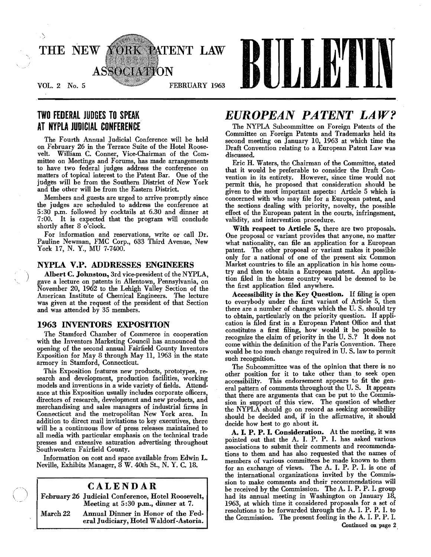

## TWO FEDERAL JUDGES TO SPEAK AT NYPLA JUDICIAL CONFERENCE

The Fourth Annual Judicial Conference will be held on February 26 in the Terrace Suite of the Hotel Roose· velt. William C. Conner, Vice-Chairman of the Committee on Meetings and Forums, has made arrangements to have two federal judges address the conference on matters of topical interest to the Patent Bar. One of the judges will be from the Southern District of New York and the other will be from the Eastern District.

Members and guests are urged to arrive prompdy since the judges are scheduled to address the conference at 5 :30 p.m. followed by cocktails at 6.30 and dinner at 7 :00. It is expected that the program will conclude shordy after 8 o'clock.

For information and reservations, write or call Dr. Pauline Newman, FMC Corp., 633 Third Avenue, New York 17, N. Y., MU 7·7400.

## NYPLA V.P. ADDRESSES ENGINEERS

Albert C. Johnston, 3rd vice-president of the NYPLA, *)* gave a lecture on patents in Allentown, Pennsylvania, on November 20, 1962 to the Lehigh Valley Section of the American Institute of Chemical Engineers. The lecture was given at the request of the president of that Section and was attended by 35 members.

## 1963 INVENTORS EXPOSITION

The Stamford Chamber of Commerce in cooperation with the Inventors Marketing Council has announced the opening of the second annual Fairfield County Inventors Exposition for May 8 through May II, 1963 in the state armory in Stamford, Connecticut.

This Exposition features new products, prototypes, research and development, production facilities, working models and inventions in a wide variety of fields. Attend. ance at this Exposition usually includes corporate officers, directors of research, development and new products, and merchandising and sales managers of industrial firms in Connecticut and the metropolitan New York area. In addition to direct mail invitations to key executives, there will be a continuous How of press releases maintained to all media with particular emphasis on the technical trade presses and extensive saturation advertising throughout Southwestern Fairfield County.

Information on cost and space available from Edwin L. Neville, Exhibits Manager, 8 W. 40th St., N. Y. C. 18.

## CALENDAR

February 26 Judicial Conference, Hotel Roosevelt, Meeting at 5:30 p.m., dinner at 7.

March 22 Annual Dinner in Honor of the Federal Judiciary, Hotel Waldorf-Astoria.

## *EUROPEAN PATENT LAW?*

The NYPLA Subcommittee on Foreign Patents of the Committee on Foreign Patents and Trademarks held its second meeting on January 10, 1963 at which time the Draft Convention relating to a European Patent Law was discussed.

Eric H. Waters, the Chairman of the Committee, stated that it would be preferable to consider the Draft Con· vention in its entirety. However, since time would not permit this, he proposed that consideration should be given to the most important aspects: Article 5 which is concerned with who may file for a European patent, and the sections dealing with priority, novelty, the possible effect of the European patent in the courts, infringement, validity, and intervention procedure.

With respect to Article 5, there are two proposals. One proposal or variant provides that anyone, no matter what nationality, can file an application for a European patent. The other proposal or variant makes it possible only for a national of one of the present six Common Market countries to file an application in his home country and then to obtain a European patent. An application filed in the home country would be deemed to be the first application filed anywhere.

Accessibility is the Key Question. If filing is open to everybody under the first variant of Article 5, then there are a number of changes which the U. S. should try to obtain, particularly on the priority question. If application is filed first in a European Patent Office and that constitutes a first filing, how would it be possible to recognize the claim of priority in the U. S.? It does not come within the definition of the Paris Convention. There would be too much change required in U. S. law to permit such recognition.

The Subcommittee was of the opinion that there is no other position for it to take other than to seek open accessibility. This endorsement appears to fit the general pattern of comments throughout the U.S. It appears that there are arguments that can be put to the Commission in support of this view. The question of whether the NYPLA should go on record as seeking accessibility should be decided and, if in the affirmative, it should decide how best to go about it.

A. I. P. P. I. Consideration. At the meeting, it was pointed out that the A. I. P. P. 1. has asked various associations to submit their comments and recommendations to them and has also requested that the names of members of various committees be made known to them for an exchange of views. The A. 1. P. P. 1. is one of the international organizations invited by the Commission to make comments and their recommendations will be received by the Commission. The A. 1. P. P. I. group had its annual meeting in Washington on January 18, 1963, at which time it considered proposals for a set of resolutions to be forwarded through the A. 1. P. P. 1. to the Commission. The present feeling in the A. 1. P. P. I. Continued on page 2,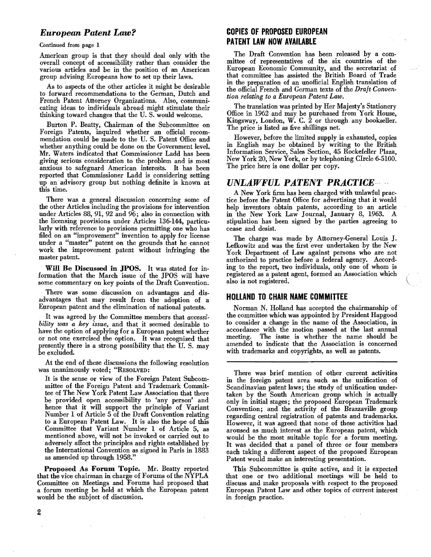## *European Patent Law?*

Continued from page 1

American group is that they should deal only with the overall concept of accessibility rather than consider the various articles and be in the position of an American group advising Europeans how to set up their laws.

As to aspects of the other articles it might be desirable to forward recommendations to the German, Dutch and French Patent Attorney Organizations. Also, communicating ideas to individuals abroad might stimulate their thinking toward changes that the U. S. would welcome.

Burton P. Beatty, Chairman of the Subcommittee on Foreign Patents, inquired whether an official recom· mendation could be made to the U. S. Patent Office and whether anything could be done on the Government level. Mr. Waters indicated that Commissioner Ladd has been giving serious consideration to the problem and is most anxious to safeguard American interests. It has been reported that Commissioner Ladd is considering setting up an·advisory group but nothing definite is known at this time.

There was a general discussion concerning some of the other Articles including the provisions for intervention under Articles 88, 91, 92 and  $96$ ; also in connection with the licensing provisions under Articles 136-144, particu. larly with reference to provisions permitting one who has filed on an "improvement" invention to apply for license under a "master" patent on the grounds that he cannot work the improvement patent without infringing the master patent.

Will Be Discussed in JPOS. It was stated for in· formation that the March issue of the JPOS will have some commentary on key points of the Draft Convention.

There was some discussion on advantages and disadvantages that may result from the adoption of a European patent and the elimination of national patents.

It was agreed by the Committee members that *accessibility was a key issue,* and that it seemed desirable to have the option of applying for a European patent whether or not one exercised the option. It was recognized that presently there is a strong possibility that the U. S. may be excluded.

At the end of these discussions the following resolution was unanimously voted; "RESOLVED:

It is the sense or view of the Foreign Patent Subcommittee of the Foreign Patent and Trademark Committee of The New York Patent Law Association that there be provided open accessibility to 'any person' and hence that it will support the principle of Variant Number 1 of Article 5 of the Draft Convention relating to a European Patent Law. It is also the hope of this Committee that Variant Number 1 of Article 5, as mentioned above, will not be invoked or carried out to adversely affect the principles and rights established by the International Convention as signed in Paris in 1883 as amended up through 1958."

Proposed As Forum Topic. Mr. Beatty reported that the vice chairman in charge of Forums of the NYPLA Committee on Meetings and Forums had proposed that a forum meeting be held at which the European patent would be the subject of discussion.

## **COPIES OF PROPOSED EUROPEAN PATENT LAW NOW AVAILABLE**

The Draft Convention has been released by a committee of representatives of the six countries of the European Economic Community, and the secretariat of that committee has assisted the British Board of Trade in the preparation of an unofficial English translation of the official French and German texts of the *Draft Convention relating to a European Patent Law.* 

The translation was printed by Her Majesty's Stationery Office in 1962 and may be purchased from York Honse, Kingsway, London, W. C.  $\tilde{2}$  or through any bookseller. The price is listed as five shillings net.

However, before the limited supply is exhausted, copies in English may be obtained by writing to the British Information Service, Sales Section, 45 Rockefeller Plaza, New York 20, New York, or by telephoning CIrcle 6·5100. The price here is one dollar per copy.

## UNLAWFUL PATENT PRACTICE----

A New York firm has been charged with unlawful practice before the Patent Office for advertising that it would help inventors obtain patents, according to an article in the New York Law Journal, January 8, 1963. A stipulation has been signed by the parties agreeing to cease and desist.

The charge was made by Attorney-General Louis J. Lefkowitz and was the first ever undertaken by the New York Department of Law against persons who are not authorized to practice before a federal agency. According to the report, two individuals, only one of whom is registered as a patent agent, formed an Association which also is not registered.

## **HOLLAND TO CHAIR NAME COMMITTEE**

Norman N. Holland has accepted the chairmanship of the committee which was appointed by President Hapgood to consider a change in the name of the Association, in accordance with the motion passed at the last annual The issue is whether the name should be amended to indicate that the Association is concerned with trademarks and copyrights, as well as patents.

There was brief mention of other current activities in the foreign patent area such as the unification of Scandinavian patent laws; the study of unification undertaken by the South American group which is actually only in initial stages; the proposed European Trademark Convention; and the activity of the Brazzaville group regarding central registration of patents and trademarks. However, it was agreed that none of these activities had aroused as much interest as the European patent, which would be the most suitable topic for a forum meeting. It was decided that a panel of three or four members each taking a different aspect of the proposed European Patent would make an interesting presentation.

This· Subcommittee is quite active, and it is expected that one or two additional meetings will be held to discuss and make proposals with respect to the proposed European Patent Law and other topics of current interest in foreign practice.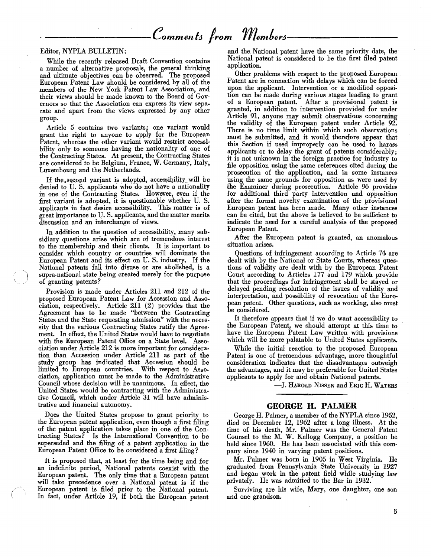# Comments from Members.

#### Editor, NYPLA BULLETIN:

While the recently released Draft Convention contains a number of alternative proposals, the general thinking and ultimate objectives can be observed. The proposed European Patent Law should be considered by all of the members of the New York Patent Law Association, and their views should be made known to the Board of Governors so that the Association can express its view separate and apart from the views expressed by any other group.

Article 5 contains two variants; one variant would grant the right to anyone to apply for the European Patent, whereas the other variant would restrict accessibility only to someone having the nationality of one of the Contracting States. At present, the Contracting States are considered to be Belgium, France, W. Germany, Italy, Luxembourg and the Netherlands.

If the second variant is adopted, accessibility will be denied to U.S. applicants who do not have a nationality in one of the Contracting States. However, even if the first variant is adopted, it is questionable whether U.S. applicants in fact desire accessibility. This matter is of great importance to U.S. applicants, and the matter merits discussion and an interchange of views.

In addition to the question of accessibility, many subsidiary questions arise which are of tremendous interest to the membership and their clients. It is important to consider which country or countries will dominate the European Patent and its effect on U.S. industry. If the National patents fall into disuse or are abolished, is a supra-national state being created merely for the purpose of granting patents?

Provision is made under Articles 211 and 212 of the proposed European Patent Law for Accession and Association, respectively. Article 211 (2) provides that the Agreement has to be made "between the Contracting States and the State requesting admission" with the necessity that the various Contracting States ratify the Agreement. In effect, the United States would have to negotiate with the European Patent Office on a State level. Association under Article 212 is more important for consideration than Accession under Article 211 as part of the study group has indicated that Accession should be limited to European countries. With respect to Association, application must be made to the Administrative Council whose decision will be unanimous. In effect, the United States would be contracting with the Administrative Council, which under Article 31 will have administrative and financial autonomy.

Does the United States propose to grant priority to the European patent application, even though a first filing of the patent application takes place in one of the Contracting States? Is the International Convention to be superseded and the filing of a patent application in the European Patent Office to be considered a first filing?

It is proposed that, at least for the time being and for<br>an indefinite period, National patents coexist with the European patent. The only time that a European patent will take precedence over a National patent is if the European patent is filed prior to the National patent. In fact, under Article 19, if both the European patent

and the National patent have the same priority date, the National patent is considered to be the first filed patent application.

Other problems with respect to the proposed European Patent are in connection with delays which can be forced upon the applicant. Intervention or a modified opposition can be made during various stages leading to grant of a European patent. After a provisional patent is granted, in addition to intervention provided for under Article 91, anyone may submit observations concerning the validity of the European patent under Article 92. There is no time limit within which such observations must be submitted, and it would therefore appear that this Section if used improperly can be used to harass applicants or to delay the grant of patents considerably; it is not unknown in the foreign practice for industry to file opposition using the same references cited during the prosecution of the application, and in some instances using the same grounds for opposition as were used by the Examiner during prosecution. Article 96 provides for additional third party intervention and opposition after the formal novelty examination of the provisional European patent has been made. Many other instances can be cited, but the above is believed to be sufficient to indicate the need for a careful analysis of the proposed European Patent.

After the European patent is granted, an anomalous situation arises.

Questions of infringement according to Article 74 are dealt with by the National or State Courts, whereas questions of validity are dealt with by the European Patent Court according to Articles 177 and 179 which provide that the proceedings for infringement shall be stayed or delayed pending resolution of the issues of validity and interpretation, and possibility of revocation of the European patent. Other questions, such as working, also must be considered.

It therefore appears that if we do want accessibility to the European Patent, we should attempt at this time to have the European Patent Law written with provisions which will be more palatable to United States applicants.

While the initial reaction to the proposed European Patent is one of tremendous advantage, more thoughtful consideration indicates that the disadvantages outweigh the advantages, and it may be preferable for United States applicants to apply for and obtain National patents.

-J. HAROLD NISSEN and ERIC H. WATERS

#### **GEORGE H. PALMER**

George H. Palmer, a member of the NYPLA since 1952, died on December 12, 1962 after a long illness. At the time of his death, Mr. Palmer was the General Patent Counsel to the M. W. Kellogg Company, a position he held since 1960. He has been associated with this company since 1940 in varying patent positions.

Mr. Palmer was born in 1905 in West Virginia. He graduated from Pennsylvania State University in 1927 and began work in the patent field while studying law privately. He was admitted to the Bar in 1932.

Surviving are his wife, Mary, one daughter, one son and one grandson.

3